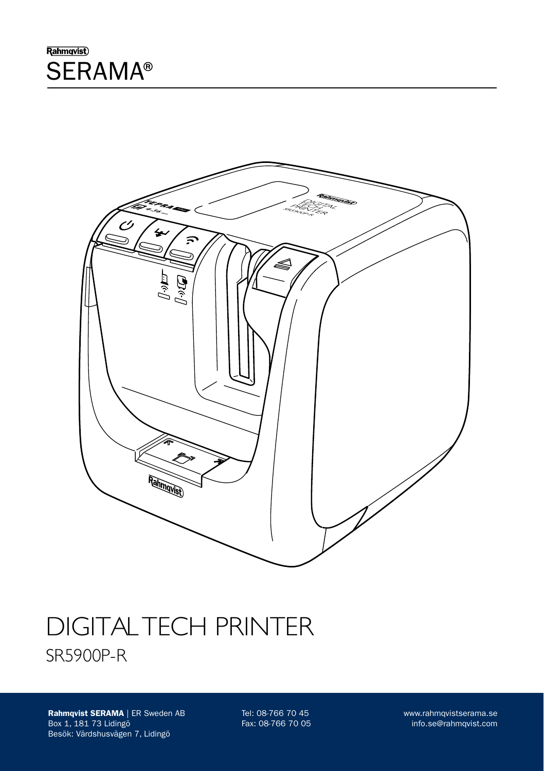### Rahmqvist) **SERAMA®**



# DIGITAL TECH PRINTER SR5900P-R

Rahmqvist SERAMA | ER Sweden AB Box 1, 181 73 Lidingö Besök: Värdshusvägen 7, Lidingö

Tel: 08-766 70 45 Fax: 08-766 70 05 www.rahmqvistserama.se info.se@rahmqvist.com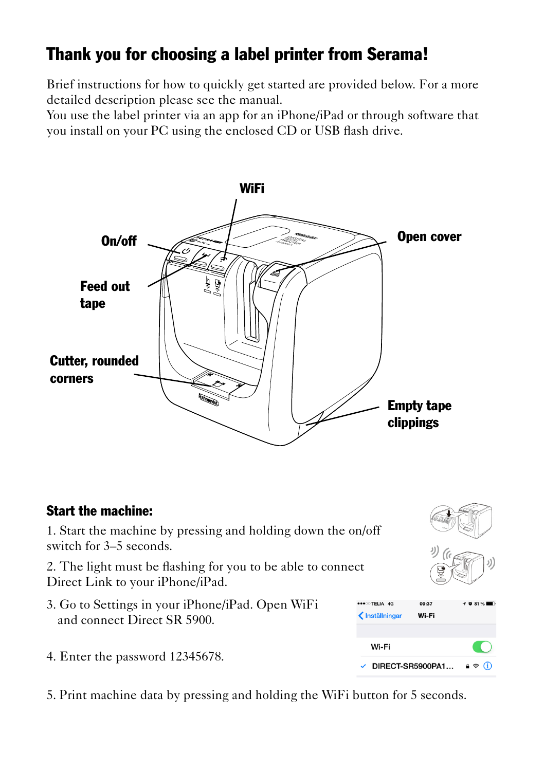## Thank you for choosing a label printer from Serama!

Brief instructions for how to quickly get started are provided below. For a more detailed description please see the manual.

You use the label printer via an app for an iPhone/iPad or through software that you install on your PC using the enclosed CD or USB flash drive.





5. Print machine data by pressing and holding the WiFi button for 5 seconds.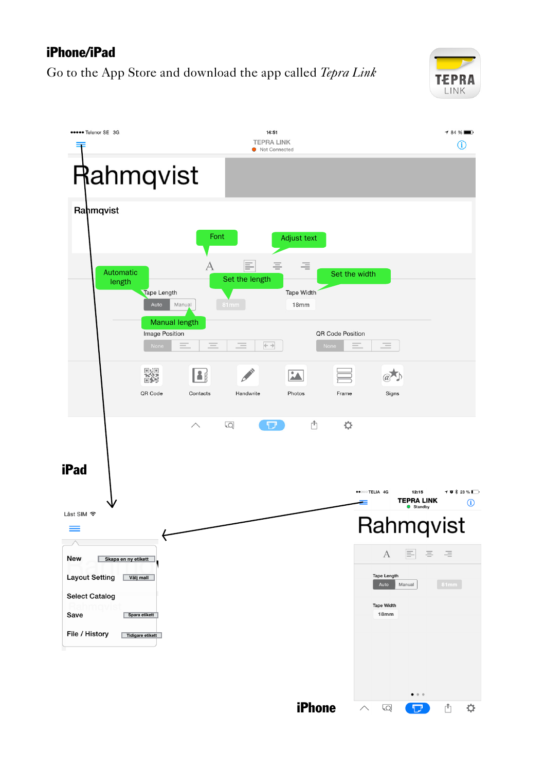#### iPhone/iPad

Go to the App Store and download the app called *Tepra Link*



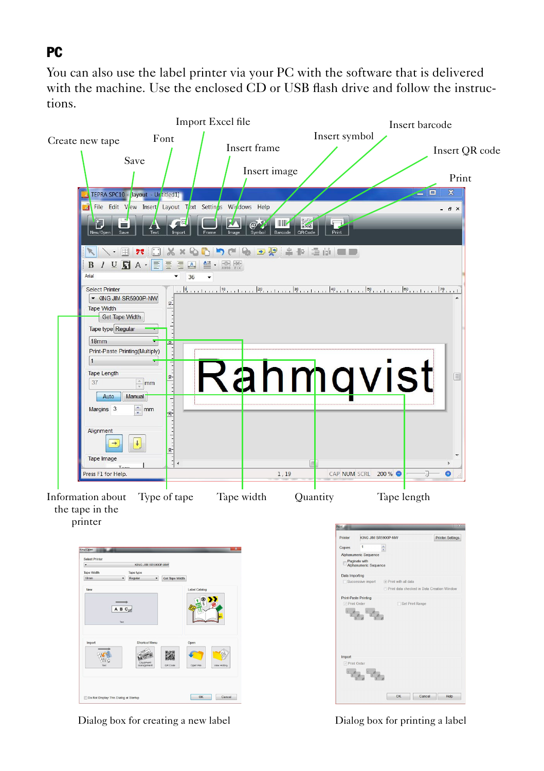#### PC

You can also use the label printer via your PC with the software that is delivered with the machine. Use the enclosed CD or USB flash drive and follow the instructions.



Dialog box for creating a new label Dialog box for printing a label

IT Do Not Disnley This Dialog at Sterlu

 $OK$  Cancel

 $\begin{tabular}{|c|c|c|c|c|} \hline & OK & \begin{tabular}{|c|c|c|c|} \hline & Carced & \end{tabular} & Help & \end{tabular}$